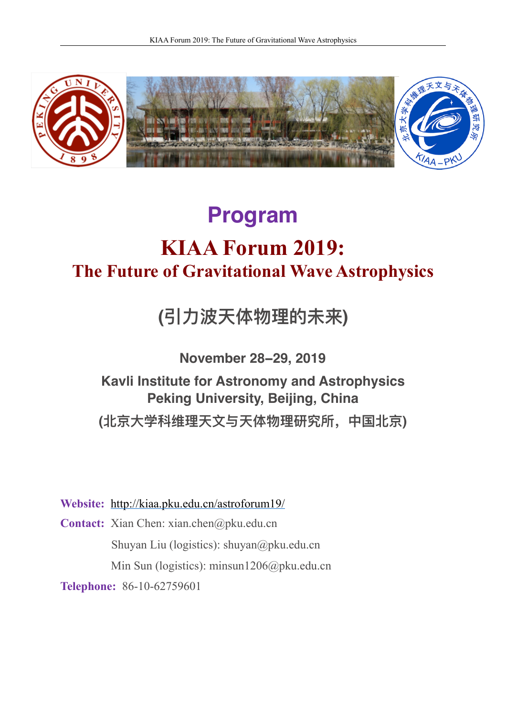

# **Program KIAA Forum 2019: The Future of Gravitational Wave Astrophysics**

**(引⼒波天体物理的未来)**

**November 28−29, 2019**

**Kavli Institute for Astronomy and Astrophysics Peking University, Beijing, China (北京⼤学科维理天⽂与天体物理研究所,中国北京)**

**Website:** <http://kiaa.pku.edu.cn/astroforum19/>

**Contact:** Xian Chen: xian.chen@pku.edu.cn Shuyan Liu (logistics): shuyan@pku.edu.cn Min Sun (logistics): minsun1206@pku.edu.cn

**Telephone:** 86-10-62759601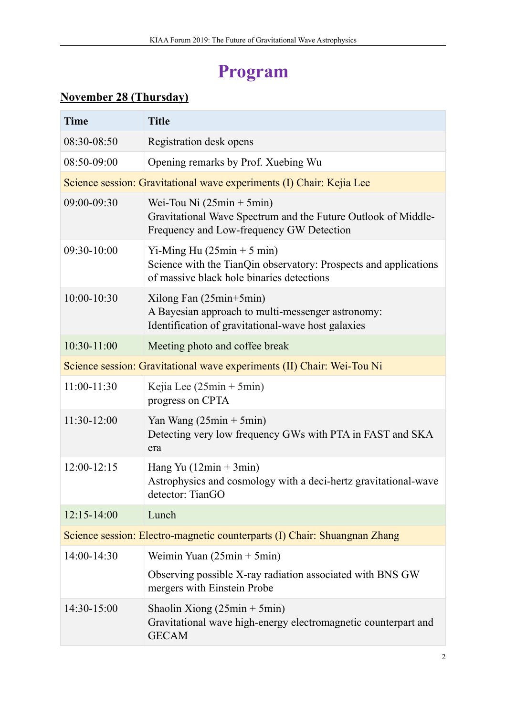### **Program**

#### **November 28 (Thursday)**

| <b>Time</b>                                                               | <b>Title</b>                                                                                                                                           |  |
|---------------------------------------------------------------------------|--------------------------------------------------------------------------------------------------------------------------------------------------------|--|
| 08:30-08:50                                                               | Registration desk opens                                                                                                                                |  |
| 08:50-09:00                                                               | Opening remarks by Prof. Xuebing Wu                                                                                                                    |  |
|                                                                           | Science session: Gravitational wave experiments (I) Chair: Kejia Lee                                                                                   |  |
| 09:00-09:30                                                               | Wei-Tou Ni $(25\text{min} + 5\text{min})$<br>Gravitational Wave Spectrum and the Future Outlook of Middle-<br>Frequency and Low-frequency GW Detection |  |
| 09:30-10:00                                                               | Yi-Ming Hu $(25min + 5min)$<br>Science with the TianQin observatory: Prospects and applications<br>of massive black hole binaries detections           |  |
| 10:00-10:30                                                               | Xilong Fan (25min+5min)<br>A Bayesian approach to multi-messenger astronomy:<br>Identification of gravitational-wave host galaxies                     |  |
| 10:30-11:00                                                               | Meeting photo and coffee break                                                                                                                         |  |
| Science session: Gravitational wave experiments (II) Chair: Wei-Tou Ni    |                                                                                                                                                        |  |
| 11:00-11:30                                                               | Kejia Lee $(25min + 5min)$<br>progress on CPTA                                                                                                         |  |
| 11:30-12:00                                                               | Yan Wang $(25\text{min} + 5\text{min})$<br>Detecting very low frequency GWs with PTA in FAST and SKA<br>era                                            |  |
| 12:00-12:15                                                               | Hang Yu $(12min + 3min)$<br>Astrophysics and cosmology with a deci-hertz gravitational-wave<br>detector: TianGO                                        |  |
| $12:15 - 14:00$                                                           | Lunch                                                                                                                                                  |  |
| Science session: Electro-magnetic counterparts (I) Chair: Shuangnan Zhang |                                                                                                                                                        |  |
| 14:00-14:30                                                               | Weimin Yuan $(25min + 5min)$                                                                                                                           |  |
|                                                                           | Observing possible X-ray radiation associated with BNS GW<br>mergers with Einstein Probe                                                               |  |
| 14:30-15:00                                                               | Shaolin Xiong $(25\text{min} + 5\text{min})$<br>Gravitational wave high-energy electromagnetic counterpart and<br><b>GECAM</b>                         |  |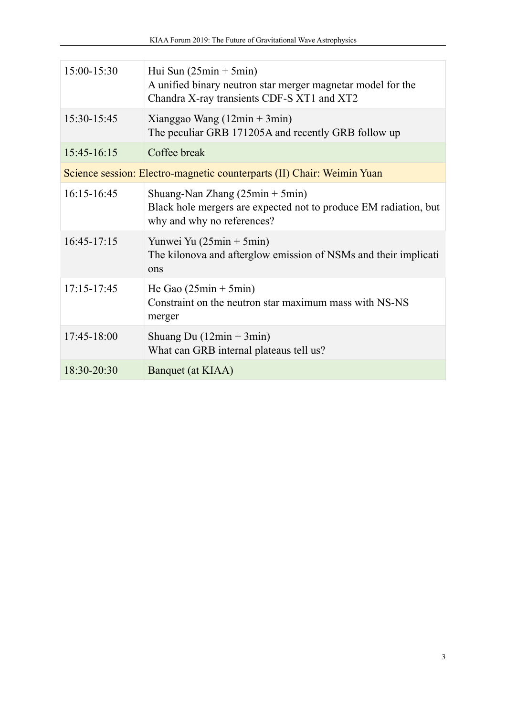| 15:00-15:30                                                            | Hui Sun $(25\text{min} + 5\text{min})$<br>A unified binary neutron star merger magnetar model for the<br>Chandra X-ray transients CDF-S XT1 and XT2 |  |
|------------------------------------------------------------------------|-----------------------------------------------------------------------------------------------------------------------------------------------------|--|
| 15:30-15:45                                                            | Xianggao Wang $(12min + 3min)$<br>The peculiar GRB 171205A and recently GRB follow up                                                               |  |
| 15:45-16:15                                                            | Coffee break                                                                                                                                        |  |
| Science session: Electro-magnetic counterparts (II) Chair: Weimin Yuan |                                                                                                                                                     |  |
| 16:15-16:45                                                            | Shuang-Nan Zhang $(25min + 5min)$<br>Black hole mergers are expected not to produce EM radiation, but<br>why and why no references?                 |  |
| $16:45-17:15$                                                          | Yunwei Yu $(25\text{min} + 5\text{min})$<br>The kilonova and afterglow emission of NSMs and their implicati<br>ons                                  |  |
| 17:15-17:45                                                            | He Gao $(25min + 5min)$<br>Constraint on the neutron star maximum mass with NS-NS<br>merger                                                         |  |
| 17:45-18:00                                                            | Shuang Du $(12min + 3min)$<br>What can GRB internal plateaus tell us?                                                                               |  |
| 18:30-20:30                                                            | Banquet (at KIAA)                                                                                                                                   |  |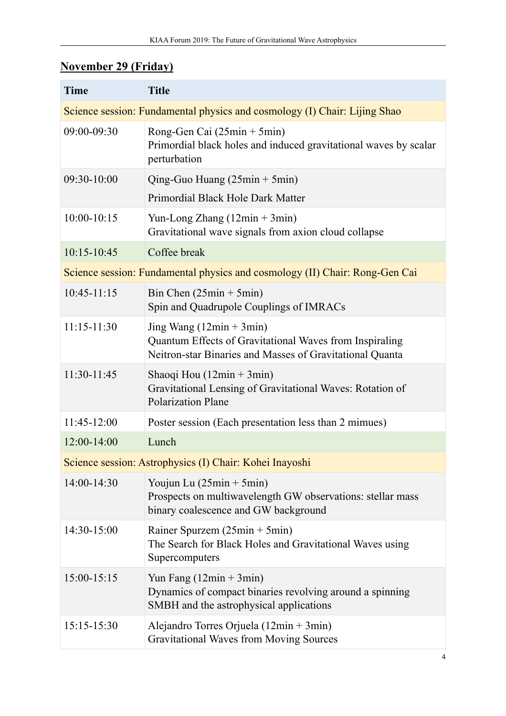#### **November 29 (Friday)**

| <b>Time</b>                                                                 | <b>Title</b>                                                                                                                                      |  |
|-----------------------------------------------------------------------------|---------------------------------------------------------------------------------------------------------------------------------------------------|--|
| Science session: Fundamental physics and cosmology (I) Chair: Lijing Shao   |                                                                                                                                                   |  |
| 09:00-09:30                                                                 | Rong-Gen Cai (25min + 5min)<br>Primordial black holes and induced gravitational waves by scalar<br>perturbation                                   |  |
| 09:30-10:00                                                                 | Qing-Guo Huang (25min + 5min)                                                                                                                     |  |
|                                                                             | Primordial Black Hole Dark Matter                                                                                                                 |  |
| 10:00-10:15                                                                 | Yun-Long Zhang $(12min + 3min)$<br>Gravitational wave signals from axion cloud collapse                                                           |  |
| 10:15-10:45                                                                 | Coffee break                                                                                                                                      |  |
| Science session: Fundamental physics and cosmology (II) Chair: Rong-Gen Cai |                                                                                                                                                   |  |
| $10:45-11:15$                                                               | Bin Chen $(25min + 5min)$<br>Spin and Quadrupole Couplings of IMRACs                                                                              |  |
| $11:15 - 11:30$                                                             | Jing Wang $(12min + 3min)$<br>Quantum Effects of Gravitational Waves from Inspiraling<br>Neitron-star Binaries and Masses of Gravitational Quanta |  |
| 11:30-11:45                                                                 | Shaoqi Hou $(12min + 3min)$<br>Gravitational Lensing of Gravitational Waves: Rotation of<br><b>Polarization Plane</b>                             |  |
| $11:45-12:00$                                                               | Poster session (Each presentation less than 2 mimues)                                                                                             |  |
| $12:00-14:00$                                                               | Lunch                                                                                                                                             |  |
|                                                                             | Science session: Astrophysics (I) Chair: Kohei Inayoshi                                                                                           |  |
| 14:00-14:30                                                                 | Youjun Lu (25min + 5min)<br>Prospects on multiwavelength GW observations: stellar mass<br>binary coalescence and GW background                    |  |
| 14:30-15:00                                                                 | Rainer Spurzem $(25min + 5min)$<br>The Search for Black Holes and Gravitational Waves using<br>Supercomputers                                     |  |
| 15:00-15:15                                                                 | Yun Fang $(12min + 3min)$<br>Dynamics of compact binaries revolving around a spinning<br>SMBH and the astrophysical applications                  |  |
| $15:15-15:30$                                                               | Alejandro Torres Orjuela ( $12min + 3min$ )<br><b>Gravitational Waves from Moving Sources</b>                                                     |  |